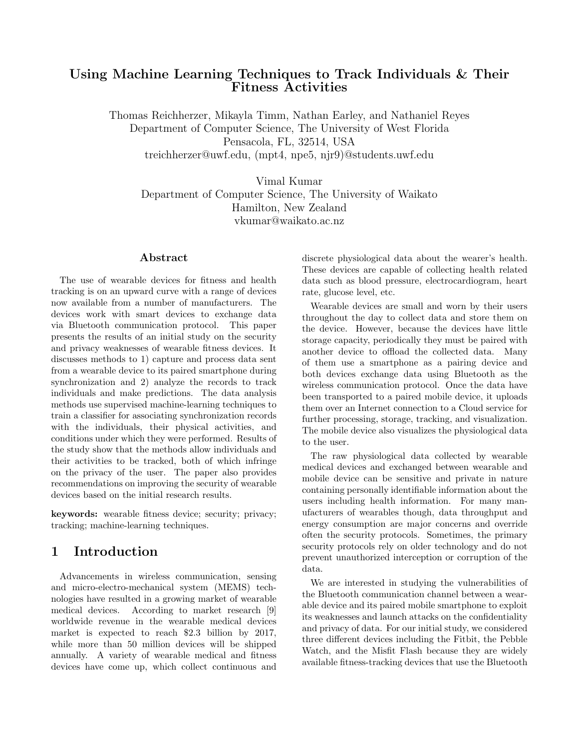#### Using Machine Learning Techniques to Track Individuals & Their Fitness Activities

Thomas Reichherzer, Mikayla Timm, Nathan Earley, and Nathaniel Reyes Department of Computer Science, The University of West Florida Pensacola, FL, 32514, USA treichherzer@uwf.edu, (mpt4, npe5, njr9)@students.uwf.edu

Vimal Kumar Department of Computer Science, The University of Waikato Hamilton, New Zealand vkumar@waikato.ac.nz

#### Abstract

The use of wearable devices for fitness and health tracking is on an upward curve with a range of devices now available from a number of manufacturers. The devices work with smart devices to exchange data via Bluetooth communication protocol. This paper presents the results of an initial study on the security and privacy weaknesses of wearable fitness devices. It discusses methods to 1) capture and process data sent from a wearable device to its paired smartphone during synchronization and 2) analyze the records to track individuals and make predictions. The data analysis methods use supervised machine-learning techniques to train a classifier for associating synchronization records with the individuals, their physical activities, and conditions under which they were performed. Results of the study show that the methods allow individuals and their activities to be tracked, both of which infringe on the privacy of the user. The paper also provides recommendations on improving the security of wearable devices based on the initial research results.

keywords: wearable fitness device; security; privacy; tracking; machine-learning techniques.

## 1 Introduction

Advancements in wireless communication, sensing and micro-electro-mechanical system (MEMS) technologies have resulted in a growing market of wearable medical devices. According to market research [9] worldwide revenue in the wearable medical devices market is expected to reach \$2.3 billion by 2017, while more than 50 million devices will be shipped annually. A variety of wearable medical and fitness devices have come up, which collect continuous and

discrete physiological data about the wearer's health. These devices are capable of collecting health related data such as blood pressure, electrocardiogram, heart rate, glucose level, etc.

Wearable devices are small and worn by their users throughout the day to collect data and store them on the device. However, because the devices have little storage capacity, periodically they must be paired with another device to offload the collected data. Many of them use a smartphone as a pairing device and both devices exchange data using Bluetooth as the wireless communication protocol. Once the data have been transported to a paired mobile device, it uploads them over an Internet connection to a Cloud service for further processing, storage, tracking, and visualization. The mobile device also visualizes the physiological data to the user.

The raw physiological data collected by wearable medical devices and exchanged between wearable and mobile device can be sensitive and private in nature containing personally identifiable information about the users including health information. For many manufacturers of wearables though, data throughput and energy consumption are major concerns and override often the security protocols. Sometimes, the primary security protocols rely on older technology and do not prevent unauthorized interception or corruption of the data.

We are interested in studying the vulnerabilities of the Bluetooth communication channel between a wearable device and its paired mobile smartphone to exploit its weaknesses and launch attacks on the confidentiality and privacy of data. For our initial study, we considered three different devices including the Fitbit, the Pebble Watch, and the Misfit Flash because they are widely available fitness-tracking devices that use the Bluetooth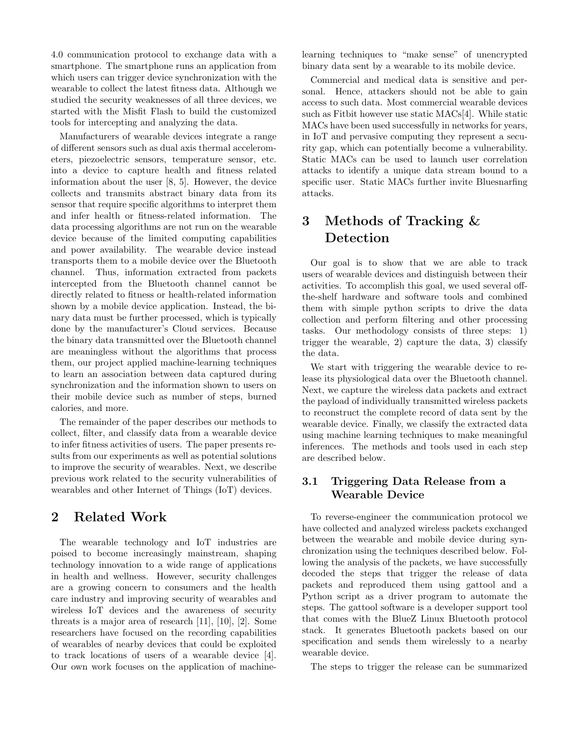4.0 communication protocol to exchange data with a smartphone. The smartphone runs an application from which users can trigger device synchronization with the wearable to collect the latest fitness data. Although we studied the security weaknesses of all three devices, we started with the Misfit Flash to build the customized tools for intercepting and analyzing the data.

Manufacturers of wearable devices integrate a range of different sensors such as dual axis thermal accelerometers, piezoelectric sensors, temperature sensor, etc. into a device to capture health and fitness related information about the user [8, 5]. However, the device collects and transmits abstract binary data from its sensor that require specific algorithms to interpret them and infer health or fitness-related information. The data processing algorithms are not run on the wearable device because of the limited computing capabilities and power availability. The wearable device instead transports them to a mobile device over the Bluetooth channel. Thus, information extracted from packets intercepted from the Bluetooth channel cannot be directly related to fitness or health-related information shown by a mobile device application. Instead, the binary data must be further processed, which is typically done by the manufacturer's Cloud services. Because the binary data transmitted over the Bluetooth channel are meaningless without the algorithms that process them, our project applied machine-learning techniques to learn an association between data captured during synchronization and the information shown to users on their mobile device such as number of steps, burned calories, and more.

The remainder of the paper describes our methods to collect, filter, and classify data from a wearable device to infer fitness activities of users. The paper presents results from our experiments as well as potential solutions to improve the security of wearables. Next, we describe previous work related to the security vulnerabilities of wearables and other Internet of Things (IoT) devices.

## 2 Related Work

The wearable technology and IoT industries are poised to become increasingly mainstream, shaping technology innovation to a wide range of applications in health and wellness. However, security challenges are a growing concern to consumers and the health care industry and improving security of wearables and wireless IoT devices and the awareness of security threats is a major area of research [11], [10], [2]. Some researchers have focused on the recording capabilities of wearables of nearby devices that could be exploited to track locations of users of a wearable device [4]. Our own work focuses on the application of machinelearning techniques to "make sense" of unencrypted binary data sent by a wearable to its mobile device.

Commercial and medical data is sensitive and personal. Hence, attackers should not be able to gain access to such data. Most commercial wearable devices such as Fitbit however use static MACs[4]. While static MACs have been used successfully in networks for years, in IoT and pervasive computing they represent a security gap, which can potentially become a vulnerability. Static MACs can be used to launch user correlation attacks to identify a unique data stream bound to a specific user. Static MACs further invite Bluesnarfing attacks.

# 3 Methods of Tracking & Detection

Our goal is to show that we are able to track users of wearable devices and distinguish between their activities. To accomplish this goal, we used several offthe-shelf hardware and software tools and combined them with simple python scripts to drive the data collection and perform filtering and other processing tasks. Our methodology consists of three steps: 1) trigger the wearable, 2) capture the data, 3) classify the data.

We start with triggering the wearable device to release its physiological data over the Bluetooth channel. Next, we capture the wireless data packets and extract the payload of individually transmitted wireless packets to reconstruct the complete record of data sent by the wearable device. Finally, we classify the extracted data using machine learning techniques to make meaningful inferences. The methods and tools used in each step are described below.

#### 3.1 Triggering Data Release from a Wearable Device

To reverse-engineer the communication protocol we have collected and analyzed wireless packets exchanged between the wearable and mobile device during synchronization using the techniques described below. Following the analysis of the packets, we have successfully decoded the steps that trigger the release of data packets and reproduced them using gattool and a Python script as a driver program to automate the steps. The gattool software is a developer support tool that comes with the BlueZ Linux Bluetooth protocol stack. It generates Bluetooth packets based on our specification and sends them wirelessly to a nearby wearable device.

The steps to trigger the release can be summarized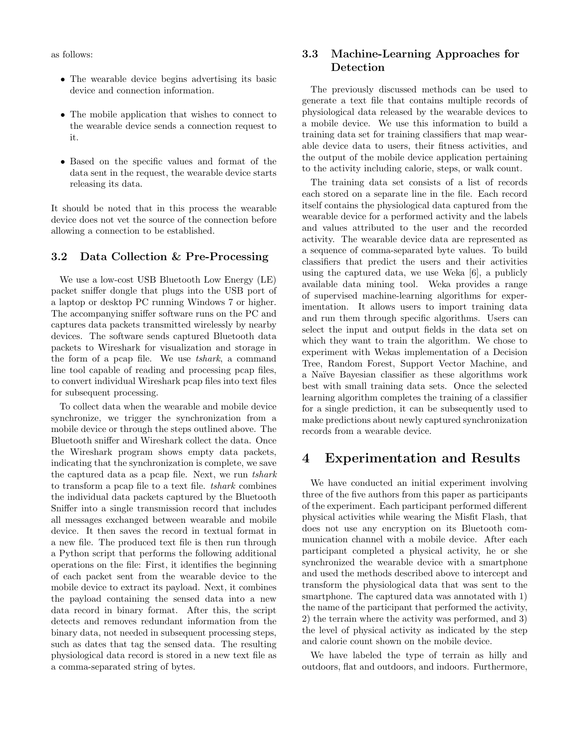as follows:

- The wearable device begins advertising its basic device and connection information.
- The mobile application that wishes to connect to the wearable device sends a connection request to it.
- Based on the specific values and format of the data sent in the request, the wearable device starts releasing its data.

It should be noted that in this process the wearable device does not vet the source of the connection before allowing a connection to be established.

#### 3.2 Data Collection & Pre-Processing

We use a low-cost USB Bluetooth Low Energy (LE) packet sniffer dongle that plugs into the USB port of a laptop or desktop PC running Windows 7 or higher. The accompanying sniffer software runs on the PC and captures data packets transmitted wirelessly by nearby devices. The software sends captured Bluetooth data packets to Wireshark for visualization and storage in the form of a pcap file. We use tshark, a command line tool capable of reading and processing pcap files, to convert individual Wireshark pcap files into text files for subsequent processing.

To collect data when the wearable and mobile device synchronize, we trigger the synchronization from a mobile device or through the steps outlined above. The Bluetooth sniffer and Wireshark collect the data. Once the Wireshark program shows empty data packets, indicating that the synchronization is complete, we save the captured data as a pcap file. Next, we run tshark to transform a pcap file to a text file. tshark combines the individual data packets captured by the Bluetooth Sniffer into a single transmission record that includes all messages exchanged between wearable and mobile device. It then saves the record in textual format in a new file. The produced text file is then run through a Python script that performs the following additional operations on the file: First, it identifies the beginning of each packet sent from the wearable device to the mobile device to extract its payload. Next, it combines the payload containing the sensed data into a new data record in binary format. After this, the script detects and removes redundant information from the binary data, not needed in subsequent processing steps, such as dates that tag the sensed data. The resulting physiological data record is stored in a new text file as a comma-separated string of bytes.

#### 3.3 Machine-Learning Approaches for Detection

The previously discussed methods can be used to generate a text file that contains multiple records of physiological data released by the wearable devices to a mobile device. We use this information to build a training data set for training classifiers that map wearable device data to users, their fitness activities, and the output of the mobile device application pertaining to the activity including calorie, steps, or walk count.

The training data set consists of a list of records each stored on a separate line in the file. Each record itself contains the physiological data captured from the wearable device for a performed activity and the labels and values attributed to the user and the recorded activity. The wearable device data are represented as a sequence of comma-separated byte values. To build classifiers that predict the users and their activities using the captured data, we use Weka [6], a publicly available data mining tool. Weka provides a range of supervised machine-learning algorithms for experimentation. It allows users to import training data and run them through specific algorithms. Users can select the input and output fields in the data set on which they want to train the algorithm. We chose to experiment with Wekas implementation of a Decision Tree, Random Forest, Support Vector Machine, and a Na¨ıve Bayesian classifier as these algorithms work best with small training data sets. Once the selected learning algorithm completes the training of a classifier for a single prediction, it can be subsequently used to make predictions about newly captured synchronization records from a wearable device.

## 4 Experimentation and Results

We have conducted an initial experiment involving three of the five authors from this paper as participants of the experiment. Each participant performed different physical activities while wearing the Misfit Flash, that does not use any encryption on its Bluetooth communication channel with a mobile device. After each participant completed a physical activity, he or she synchronized the wearable device with a smartphone and used the methods described above to intercept and transform the physiological data that was sent to the smartphone. The captured data was annotated with 1) the name of the participant that performed the activity, 2) the terrain where the activity was performed, and 3) the level of physical activity as indicated by the step and calorie count shown on the mobile device.

We have labeled the type of terrain as hilly and outdoors, flat and outdoors, and indoors. Furthermore,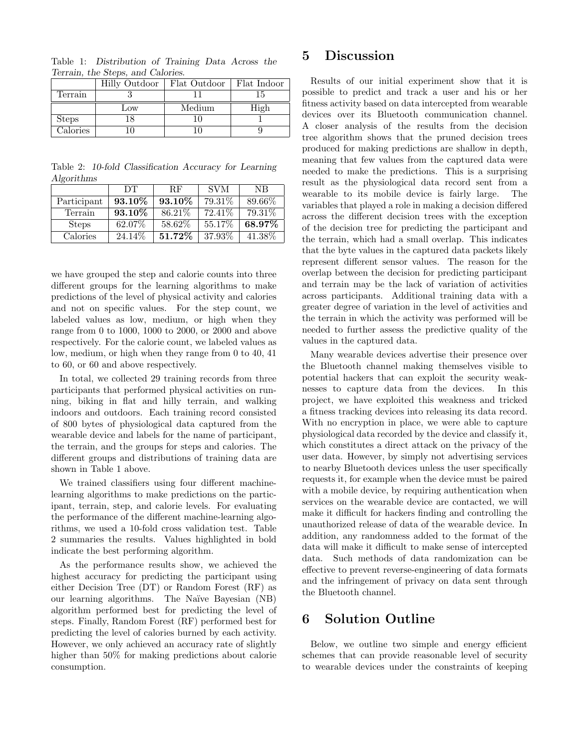|                 | Hilly Outdoor | Flat Outdoor | Flat Indoor |
|-----------------|---------------|--------------|-------------|
| Terrain         |               |              | 15          |
|                 | Low           | Medium       | High        |
| <b>Steps</b>    |               |              |             |
| $\alpha$ lories |               |              |             |

Table 1: Distribution of Training Data Across the Terrain, the Steps, and Calories.

Table 2: 10-fold Classification Accuracy for Learning Algorithms

|              | DТ      | <b>RF</b> | <b>SVM</b> | NB.    |
|--------------|---------|-----------|------------|--------|
| Participant  | 93.10\% | 93.10%    | 79.31\%    | 89.66% |
| Terrain      | 93.10\% | 86.21\%   | 72.41\%    | 79.31% |
| <b>Steps</b> | 62.07\% | 58.62\%   | 55.17\%    | 68.97% |
| Calories     | 24.14\% | 51.72%    | 37.93%     | 41.38% |

we have grouped the step and calorie counts into three different groups for the learning algorithms to make predictions of the level of physical activity and calories and not on specific values. For the step count, we labeled values as low, medium, or high when they range from 0 to 1000, 1000 to 2000, or 2000 and above respectively. For the calorie count, we labeled values as low, medium, or high when they range from 0 to 40, 41 to 60, or 60 and above respectively.

In total, we collected 29 training records from three participants that performed physical activities on running, biking in flat and hilly terrain, and walking indoors and outdoors. Each training record consisted of 800 bytes of physiological data captured from the wearable device and labels for the name of participant, the terrain, and the groups for steps and calories. The different groups and distributions of training data are shown in Table 1 above.

We trained classifiers using four different machinelearning algorithms to make predictions on the participant, terrain, step, and calorie levels. For evaluating the performance of the different machine-learning algorithms, we used a 10-fold cross validation test. Table 2 summaries the results. Values highlighted in bold indicate the best performing algorithm.

As the performance results show, we achieved the highest accuracy for predicting the participant using either Decision Tree (DT) or Random Forest (RF) as our learning algorithms. The Naïve Bayesian (NB) algorithm performed best for predicting the level of steps. Finally, Random Forest (RF) performed best for predicting the level of calories burned by each activity. However, we only achieved an accuracy rate of slightly higher than 50% for making predictions about calorie consumption.

#### 5 Discussion

Results of our initial experiment show that it is possible to predict and track a user and his or her fitness activity based on data intercepted from wearable devices over its Bluetooth communication channel. A closer analysis of the results from the decision tree algorithm shows that the pruned decision trees produced for making predictions are shallow in depth, meaning that few values from the captured data were needed to make the predictions. This is a surprising result as the physiological data record sent from a wearable to its mobile device is fairly large. The variables that played a role in making a decision differed across the different decision trees with the exception of the decision tree for predicting the participant and the terrain, which had a small overlap. This indicates that the byte values in the captured data packets likely represent different sensor values. The reason for the overlap between the decision for predicting participant and terrain may be the lack of variation of activities across participants. Additional training data with a greater degree of variation in the level of activities and the terrain in which the activity was performed will be needed to further assess the predictive quality of the values in the captured data.

Many wearable devices advertise their presence over the Bluetooth channel making themselves visible to potential hackers that can exploit the security weaknesses to capture data from the devices. In this project, we have exploited this weakness and tricked a fitness tracking devices into releasing its data record. With no encryption in place, we were able to capture physiological data recorded by the device and classify it, which constitutes a direct attack on the privacy of the user data. However, by simply not advertising services to nearby Bluetooth devices unless the user specifically requests it, for example when the device must be paired with a mobile device, by requiring authentication when services on the wearable device are contacted, we will make it difficult for hackers finding and controlling the unauthorized release of data of the wearable device. In addition, any randomness added to the format of the data will make it difficult to make sense of intercepted data. Such methods of data randomization can be effective to prevent reverse-engineering of data formats and the infringement of privacy on data sent through the Bluetooth channel.

## 6 Solution Outline

Below, we outline two simple and energy efficient schemes that can provide reasonable level of security to wearable devices under the constraints of keeping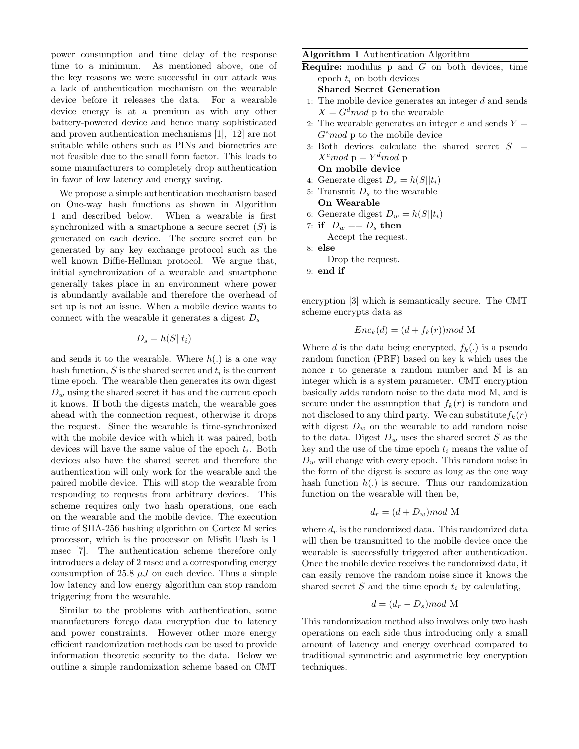power consumption and time delay of the response time to a minimum. As mentioned above, one of the key reasons we were successful in our attack was a lack of authentication mechanism on the wearable device before it releases the data. For a wearable device energy is at a premium as with any other battery-powered device and hence many sophisticated and proven authentication mechanisms [1], [12] are not suitable while others such as PINs and biometrics are not feasible due to the small form factor. This leads to some manufacturers to completely drop authentication in favor of low latency and energy saving.

We propose a simple authentication mechanism based on One-way hash functions as shown in Algorithm 1 and described below. When a wearable is first synchronized with a smartphone a secure secret  $(S)$  is generated on each device. The secure secret can be generated by any key exchange protocol such as the well known Diffie-Hellman protocol. We argue that, initial synchronization of a wearable and smartphone generally takes place in an environment where power is abundantly available and therefore the overhead of set up is not an issue. When a mobile device wants to connect with the wearable it generates a digest  $D_s$ 

#### $D_s = h(S||t_i)$

and sends it to the wearable. Where  $h(.)$  is a one way hash function,  $S$  is the shared secret and  $t_i$  is the current time epoch. The wearable then generates its own digest  $D_w$  using the shared secret it has and the current epoch it knows. If both the digests match, the wearable goes ahead with the connection request, otherwise it drops the request. Since the wearable is time-synchronized with the mobile device with which it was paired, both devices will have the same value of the epoch  $t_i$ . Both devices also have the shared secret and therefore the authentication will only work for the wearable and the paired mobile device. This will stop the wearable from responding to requests from arbitrary devices. This scheme requires only two hash operations, one each on the wearable and the mobile device. The execution time of SHA-256 hashing algorithm on Cortex M series processor, which is the processor on Misfit Flash is 1 msec [7]. The authentication scheme therefore only introduces a delay of 2 msec and a corresponding energy consumption of 25.8  $\mu$ J on each device. Thus a simple low latency and low energy algorithm can stop random triggering from the wearable.

Similar to the problems with authentication, some manufacturers forego data encryption due to latency and power constraints. However other more energy efficient randomization methods can be used to provide information theoretic security to the data. Below we outline a simple randomization scheme based on CMT

#### Algorithm 1 Authentication Algorithm

- Require: modulus p and G on both devices, time epoch  $t_i$  on both devices Shared Secret Generation
- 1: The mobile device generates an integer  $d$  and sends  $X = G<sup>d</sup>$  p to the wearable
- 2: The wearable generates an integer  $e$  and sends  $Y =$  $G<sup>e</sup>$  nod p to the mobile device
- 3: Both devices calculate the shared secret  $S =$  $X^e$ mod p $Y^d$ mod p On mobile device
- 4: Generate digest  $D_s = h(S||t_i)$
- 5: Transmit  $D_s$  to the wearable On Wearable
- 6: Generate digest  $D_w = h(S||t_i)$
- 7: if  $D_w == D_s$  then Accept the request. 8: else

Drop the request.

9: end if

encryption [3] which is semantically secure. The CMT scheme encrypts data as

$$
Enc_k(d) = (d + f_k(r)) \mod M
$$

Where d is the data being encrypted,  $f_k(.)$  is a pseudo random function (PRF) based on key k which uses the nonce r to generate a random number and M is an integer which is a system parameter. CMT encryption basically adds random noise to the data mod M, and is secure under the assumption that  $f_k(r)$  is random and not disclosed to any third party. We can substitute  $f_k(r)$ with digest  $D_w$  on the wearable to add random noise to the data. Digest  $D_w$  uses the shared secret S as the key and the use of the time epoch  $t_i$  means the value of  $D_w$  will change with every epoch. This random noise in the form of the digest is secure as long as the one way hash function  $h(.)$  is secure. Thus our randomization function on the wearable will then be,

$$
d_r = (d + D_w) \mod M
$$

where  $d_r$  is the randomized data. This randomized data will then be transmitted to the mobile device once the wearable is successfully triggered after authentication. Once the mobile device receives the randomized data, it can easily remove the random noise since it knows the shared secret  $S$  and the time epoch  $t_i$  by calculating,

$$
d = (d_r - D_s) \mod M
$$

This randomization method also involves only two hash operations on each side thus introducing only a small amount of latency and energy overhead compared to traditional symmetric and asymmetric key encryption techniques.